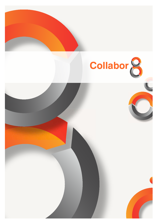